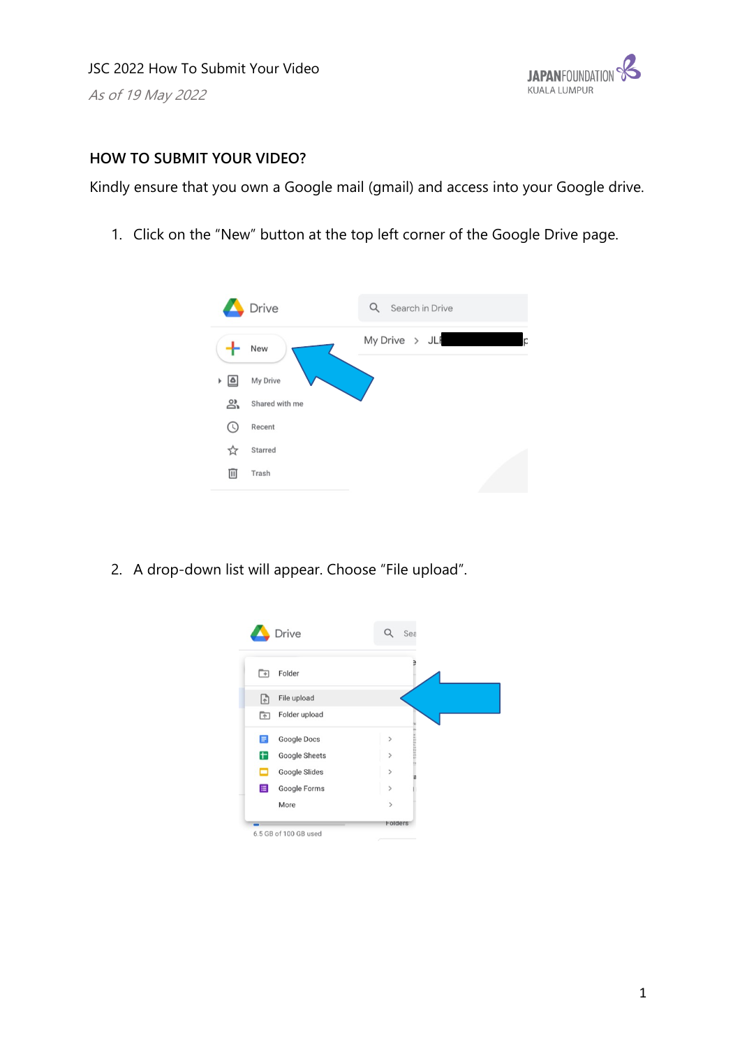

## **HOW TO SUBMIT YOUR VIDEO?**

Kindly ensure that you own a Google mail (gmail) and access into your Google drive.

1. Click on the "New" button at the top left corner of the Google Drive page.



2. A drop-down list will appear. Choose "File upload".

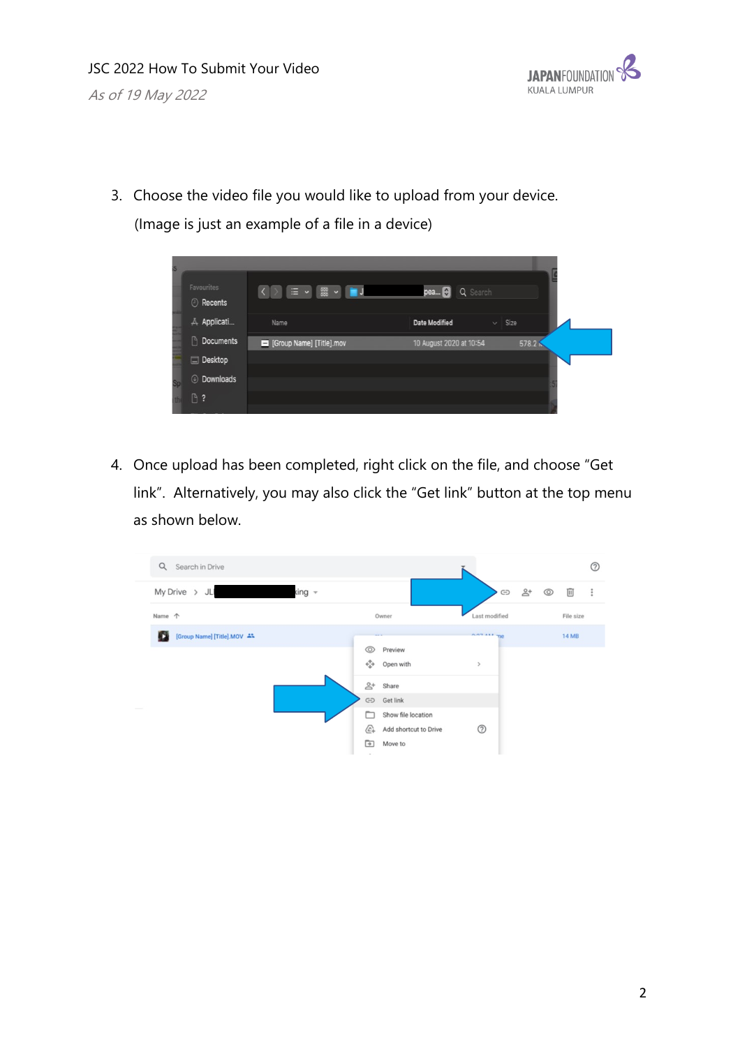

3. Choose the video file you would like to upload from your device.

(Image is just an example of a file in a device)

|  | <b>Favourites</b><br><b>O</b> Recents | <b>DI 三 v 霊 v ■J</b>    | pea<br>Q Search         |             |  |
|--|---------------------------------------|-------------------------|-------------------------|-------------|--|
|  | A Applicati                           | Name                    | <b>Date Modified</b>    | $\vee$ Size |  |
|  | Documents                             | Group Name] [Title].mov | 10 August 2020 at 10:54 | 578.2       |  |
|  | Desktop                               |                         |                         |             |  |
|  | © Downloads                           |                         |                         |             |  |
|  | $0$ ?                                 |                         |                         |             |  |

4. Once upload has been completed, right click on the file, and choose "Get link". Alternatively, you may also click the "Get link" button at the top menu as shown below.

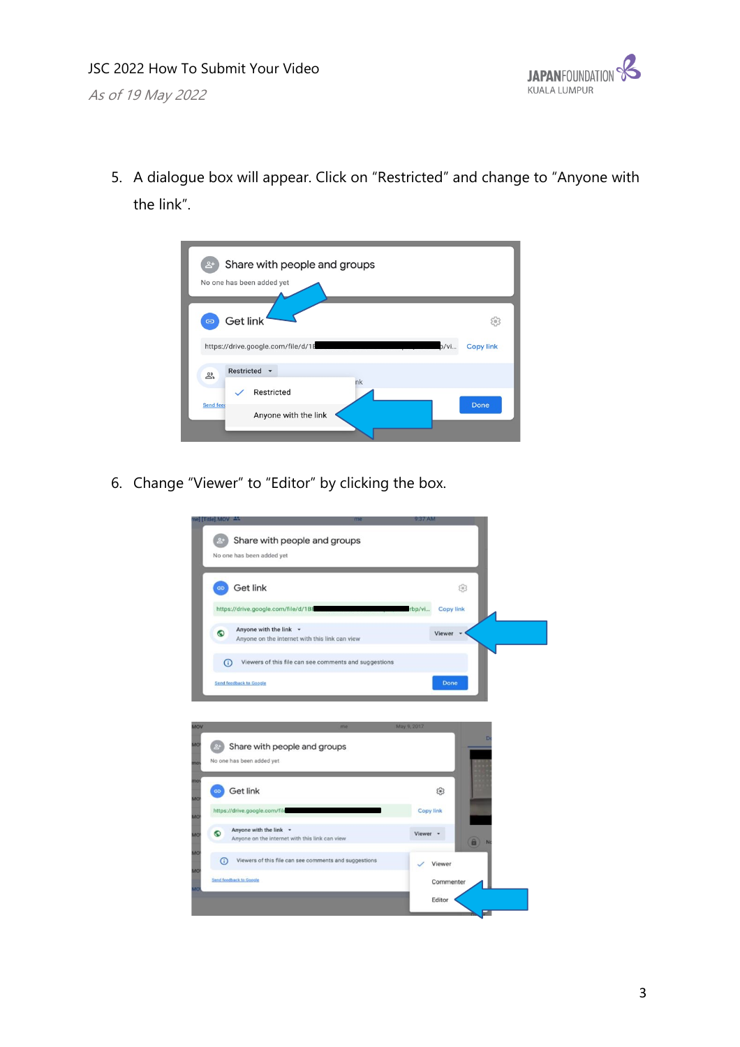

5. A dialogue box will appear. Click on "Restricted" and change to "Anyone with the link".



6. Change "Viewer" to "Editor" by clicking the box.